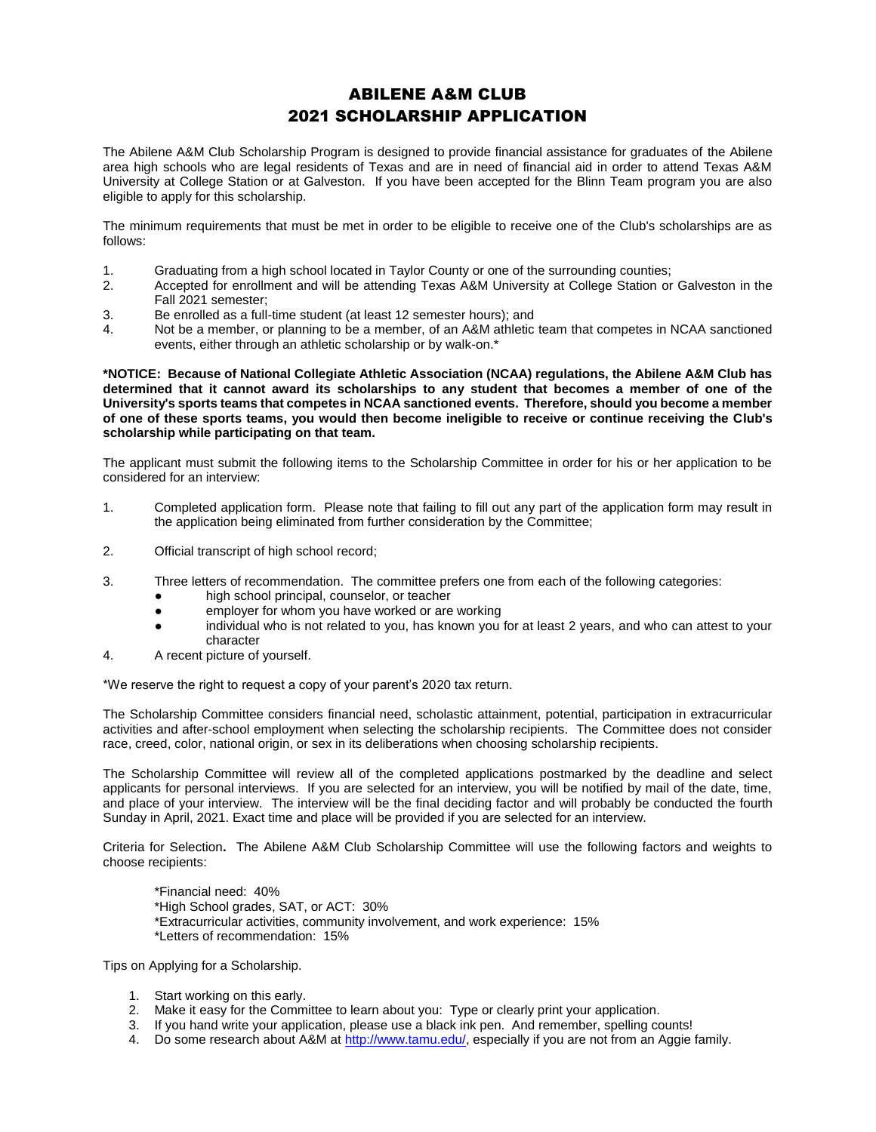## ABILENE A&M CLUB 2021 SCHOLARSHIP APPLICATION

The Abilene A&M Club Scholarship Program is designed to provide financial assistance for graduates of the Abilene area high schools who are legal residents of Texas and are in need of financial aid in order to attend Texas A&M University at College Station or at Galveston. If you have been accepted for the Blinn Team program you are also eligible to apply for this scholarship.

The minimum requirements that must be met in order to be eligible to receive one of the Club's scholarships are as follows:

- 1. Graduating from a high school located in Taylor County or one of the surrounding counties;
- 2. Accepted for enrollment and will be attending Texas A&M University at College Station or Galveston in the Fall 2021 semester;
- 3. Be enrolled as a full-time student (at least 12 semester hours); and
- 4. Not be a member, or planning to be a member, of an A&M athletic team that competes in NCAA sanctioned events, either through an athletic scholarship or by walk-on.\*

**\*NOTICE: Because of National Collegiate Athletic Association (NCAA) regulations, the Abilene A&M Club has determined that it cannot award its scholarships to any student that becomes a member of one of the University's sports teams that competes in NCAA sanctioned events. Therefore, should you become a member of one of these sports teams, you would then become ineligible to receive or continue receiving the Club's scholarship while participating on that team.**

The applicant must submit the following items to the Scholarship Committee in order for his or her application to be considered for an interview:

- 1. Completed application form. Please note that failing to fill out any part of the application form may result in the application being eliminated from further consideration by the Committee;
- 2. Official transcript of high school record;
- 3. Three letters of recommendation. The committee prefers one from each of the following categories:
	- high school principal, counselor, or teacher
	- employer for whom you have worked or are working
	- individual who is not related to you, has known you for at least 2 years, and who can attest to your character
- 4. A recent picture of yourself.

\*We reserve the right to request a copy of your parent's 2020 tax return.

The Scholarship Committee considers financial need, scholastic attainment, potential, participation in extracurricular activities and after-school employment when selecting the scholarship recipients. The Committee does not consider race, creed, color, national origin, or sex in its deliberations when choosing scholarship recipients.

The Scholarship Committee will review all of the completed applications postmarked by the deadline and select applicants for personal interviews. If you are selected for an interview, you will be notified by mail of the date, time, and place of your interview. The interview will be the final deciding factor and will probably be conducted the fourth Sunday in April, 2021. Exact time and place will be provided if you are selected for an interview.

Criteria for Selection**.** The Abilene A&M Club Scholarship Committee will use the following factors and weights to choose recipients:

\*Financial need: 40% \*High School grades, SAT, or ACT: 30% \*Extracurricular activities, community involvement, and work experience: 15% \*Letters of recommendation: 15%

Tips on Applying for a Scholarship.

- 1. Start working on this early.
- 2. Make it easy for the Committee to learn about you: Type or clearly print your application.
- 3. If you hand write your application, please use a black ink pen. And remember, spelling counts!
- 4. Do some research about A&M at [http://www.tamu.edu/,](http://www.tamu.edu/) especially if you are not from an Aggie family.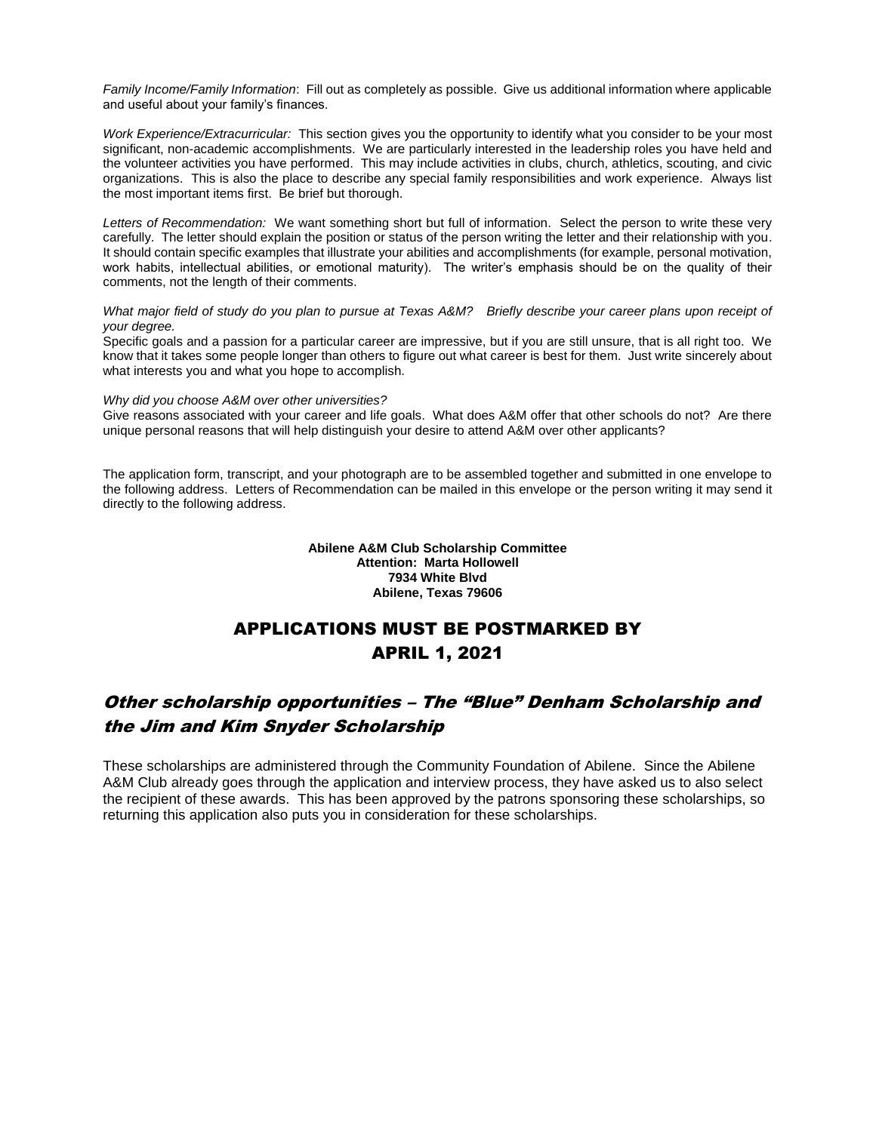*Family Income/Family Information*: Fill out as completely as possible. Give us additional information where applicable and useful about your family's finances.

*Work Experience/Extracurricular:* This section gives you the opportunity to identify what you consider to be your most significant, non-academic accomplishments. We are particularly interested in the leadership roles you have held and the volunteer activities you have performed. This may include activities in clubs, church, athletics, scouting, and civic organizations. This is also the place to describe any special family responsibilities and work experience. Always list the most important items first. Be brief but thorough.

*Letters of Recommendation:* We want something short but full of information. Select the person to write these very carefully. The letter should explain the position or status of the person writing the letter and their relationship with you. It should contain specific examples that illustrate your abilities and accomplishments (for example, personal motivation, work habits, intellectual abilities, or emotional maturity). The writer's emphasis should be on the quality of their comments, not the length of their comments.

*What major field of study do you plan to pursue at Texas A&M? Briefly describe your career plans upon receipt of your degree.*

Specific goals and a passion for a particular career are impressive, but if you are still unsure, that is all right too. We know that it takes some people longer than others to figure out what career is best for them. Just write sincerely about what interests you and what you hope to accomplish.

#### *Why did you choose A&M over other universities?*

Give reasons associated with your career and life goals. What does A&M offer that other schools do not? Are there unique personal reasons that will help distinguish your desire to attend A&M over other applicants?

The application form, transcript, and your photograph are to be assembled together and submitted in one envelope to the following address. Letters of Recommendation can be mailed in this envelope or the person writing it may send it directly to the following address.

> **Abilene A&M Club Scholarship Committee Attention: Marta Hollowell 7934 White Blvd Abilene, Texas 79606**

# APPLICATIONS MUST BE POSTMARKED BY APRIL 1, 2021

## Other scholarship opportunities – The "Blue" Denham Scholarship and the Jim and Kim Snyder Scholarship

These scholarships are administered through the Community Foundation of Abilene. Since the Abilene A&M Club already goes through the application and interview process, they have asked us to also select the recipient of these awards. This has been approved by the patrons sponsoring these scholarships, so returning this application also puts you in consideration for these scholarships.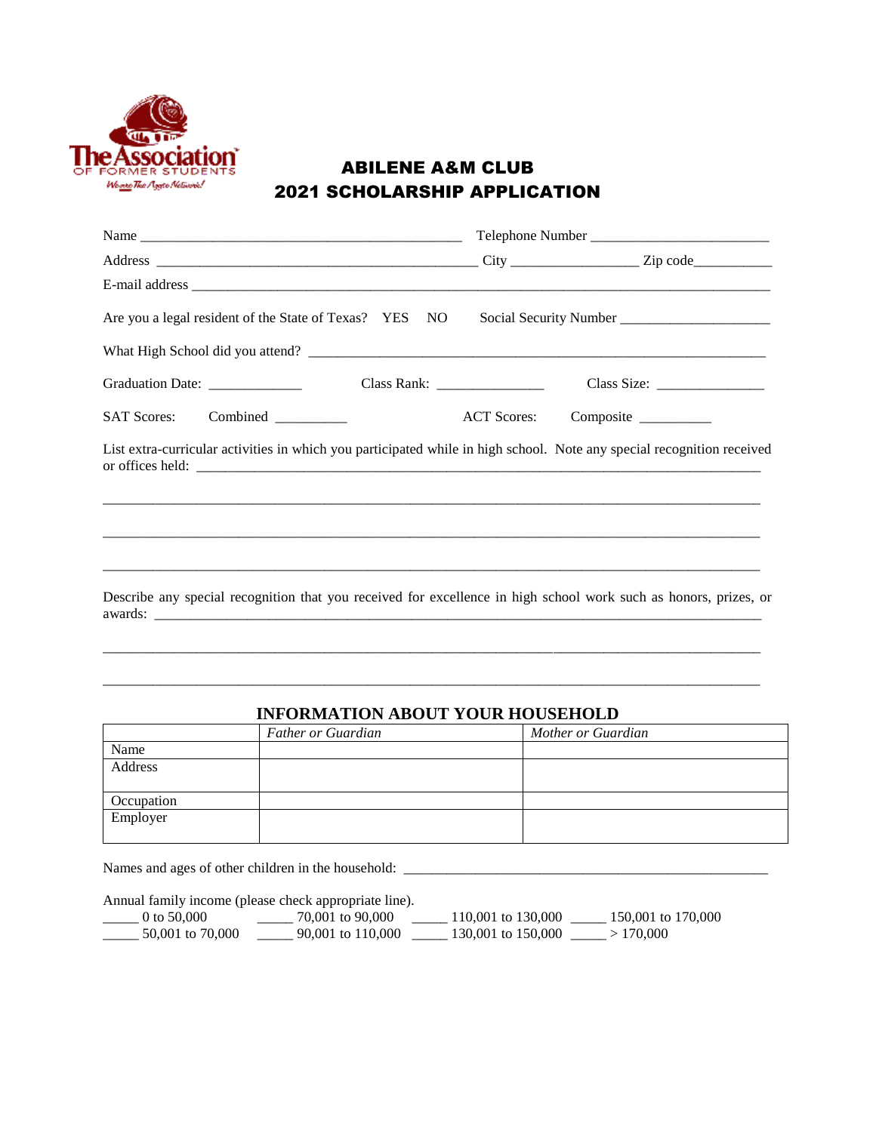

# ABILENE A&M CLUB 2021 SCHOLARSHIP APPLICATION

| Are you a legal resident of the State of Texas? YES NO Social Security Number ______________________                   |  |  |                                |  |
|------------------------------------------------------------------------------------------------------------------------|--|--|--------------------------------|--|
|                                                                                                                        |  |  |                                |  |
| Graduation Date: ________________                                                                                      |  |  |                                |  |
| SAT Scores: Combined _________                                                                                         |  |  | ACT Scores: Composite ________ |  |
| List extra-curricular activities in which you participated while in high school. Note any special recognition received |  |  |                                |  |
|                                                                                                                        |  |  |                                |  |
|                                                                                                                        |  |  |                                |  |
| Describe any special recognition that you received for excellence in high school work such as honors, prizes, or       |  |  |                                |  |

### **INFORMATION ABOUT YOUR HOUSEHOLD**

 $\overline{a}$  , and the contribution of the contribution of the contribution of the contribution of the contribution of the contribution of the contribution of the contribution of the contribution of the contribution of the co

 $\overline{a}$  , and the state of the state of the state of the state of the state of the state of the state of the state of the state of the state of the state of the state of the state of the state of the state of the state o

|            | <b>Father or Guardian</b> | Mother or Guardian |
|------------|---------------------------|--------------------|
| Name       |                           |                    |
| Address    |                           |                    |
|            |                           |                    |
| Occupation |                           |                    |
| Employer   |                           |                    |
|            |                           |                    |

Names and ages of other children in the household: \_\_\_\_\_\_\_\_\_\_\_\_\_\_\_\_\_\_\_\_\_\_\_\_\_\_\_\_\_\_\_\_\_\_\_\_\_\_\_\_\_\_\_\_\_\_\_\_\_\_\_

Annual family income (please check appropriate line).

| 0 to $50,000$    | 70,001 to 90,000  | 110,001 to 130,000 | 150,001 to 170,000 |
|------------------|-------------------|--------------------|--------------------|
| 50,001 to 70,000 | 90,001 to 110,000 | 130,001 to 150,000 | >170.000           |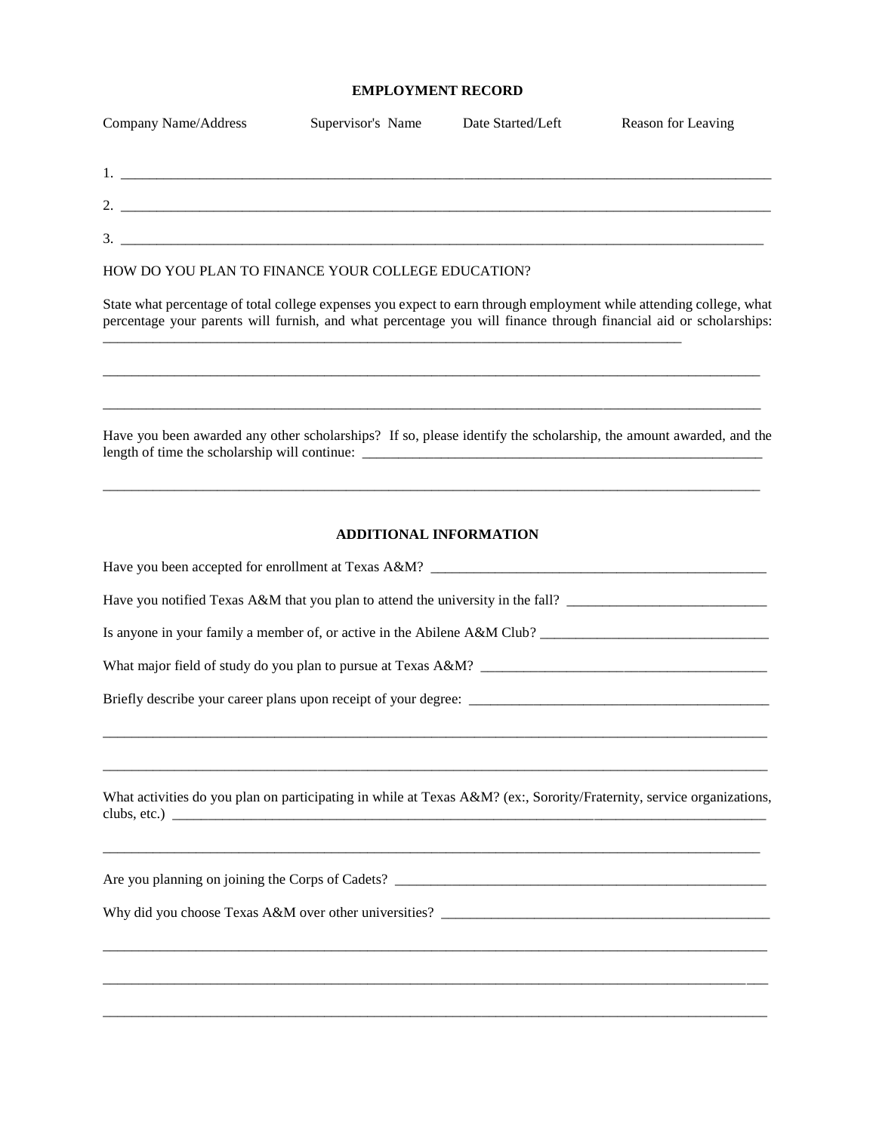### **EMPLOYMENT RECORD**

| Company Name/Address                                                            | Supervisor's Name             | Date Started/Left | Reason for Leaving                                                                                                                                                                                                                       |
|---------------------------------------------------------------------------------|-------------------------------|-------------------|------------------------------------------------------------------------------------------------------------------------------------------------------------------------------------------------------------------------------------------|
|                                                                                 |                               |                   |                                                                                                                                                                                                                                          |
|                                                                                 |                               |                   |                                                                                                                                                                                                                                          |
|                                                                                 |                               |                   |                                                                                                                                                                                                                                          |
| HOW DO YOU PLAN TO FINANCE YOUR COLLEGE EDUCATION?                              |                               |                   |                                                                                                                                                                                                                                          |
|                                                                                 |                               |                   | State what percentage of total college expenses you expect to earn through employment while attending college, what<br>percentage your parents will furnish, and what percentage you will finance through financial aid or scholarships: |
|                                                                                 |                               |                   | Have you been awarded any other scholarships? If so, please identify the scholarship, the amount awarded, and the                                                                                                                        |
|                                                                                 | <b>ADDITIONAL INFORMATION</b> |                   |                                                                                                                                                                                                                                          |
|                                                                                 |                               |                   |                                                                                                                                                                                                                                          |
| Have you notified Texas A&M that you plan to attend the university in the fall? |                               |                   |                                                                                                                                                                                                                                          |
|                                                                                 |                               |                   | Is anyone in your family a member of, or active in the Abilene A&M Club?                                                                                                                                                                 |
|                                                                                 |                               |                   |                                                                                                                                                                                                                                          |
|                                                                                 |                               |                   |                                                                                                                                                                                                                                          |
| clubs, etc.)                                                                    |                               |                   | What activities do you plan on participating in while at Texas A&M? (ex:, Sorority/Fraternity, service organizations,                                                                                                                    |
|                                                                                 |                               |                   |                                                                                                                                                                                                                                          |
|                                                                                 |                               |                   |                                                                                                                                                                                                                                          |
|                                                                                 |                               |                   |                                                                                                                                                                                                                                          |
|                                                                                 |                               |                   |                                                                                                                                                                                                                                          |